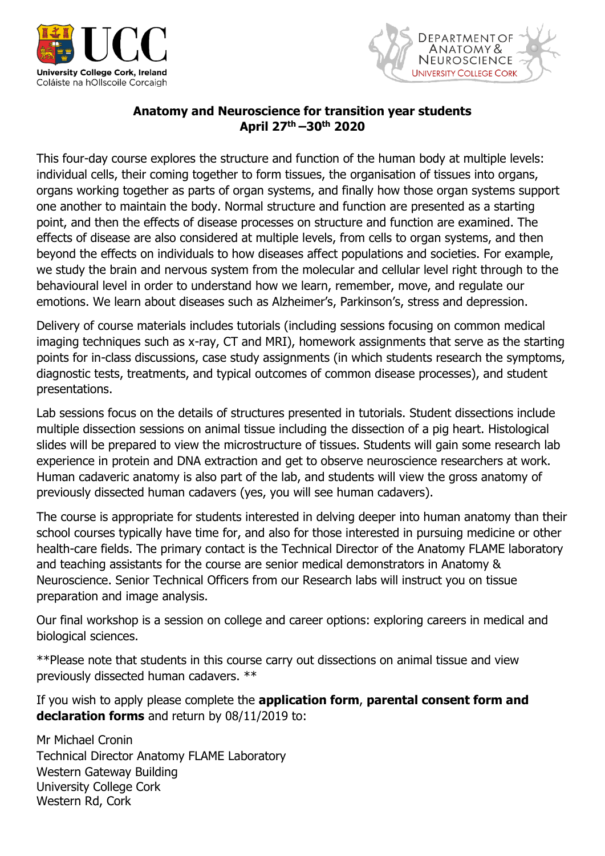



# **Anatomy and Neuroscience for transition year students April 27 th –30th 2020**

This four-day course explores the structure and function of the human body at multiple levels: individual cells, their coming together to form tissues, the organisation of tissues into organs, organs working together as parts of organ systems, and finally how those organ systems support one another to maintain the body. Normal structure and function are presented as a starting point, and then the effects of disease processes on structure and function are examined. The effects of disease are also considered at multiple levels, from cells to organ systems, and then beyond the effects on individuals to how diseases affect populations and societies. For example, we study the brain and nervous system from the molecular and cellular level right through to the behavioural level in order to understand how we learn, remember, move, and regulate our emotions. We learn about diseases such as Alzheimer's, Parkinson's, stress and depression.

Delivery of course materials includes tutorials (including sessions focusing on common medical imaging techniques such as x-ray, CT and MRI), homework assignments that serve as the starting points for in-class discussions, case study assignments (in which students research the symptoms, diagnostic tests, treatments, and typical outcomes of common disease processes), and student presentations.

Lab sessions focus on the details of structures presented in tutorials. Student dissections include multiple dissection sessions on animal tissue including the dissection of a pig heart. Histological slides will be prepared to view the microstructure of tissues. Students will gain some research lab experience in protein and DNA extraction and get to observe neuroscience researchers at work. Human cadaveric anatomy is also part of the lab, and students will view the gross anatomy of previously dissected human cadavers (yes, you will see human cadavers).

The course is appropriate for students interested in delving deeper into human anatomy than their school courses typically have time for, and also for those interested in pursuing medicine or other health-care fields. The primary contact is the Technical Director of the Anatomy FLAME laboratory and teaching assistants for the course are senior medical demonstrators in Anatomy & Neuroscience. Senior Technical Officers from our Research labs will instruct you on tissue preparation and image analysis.

Our final workshop is a session on college and career options: exploring careers in medical and biological sciences.

\*\*Please note that students in this course carry out dissections on animal tissue and view previously dissected human cadavers. \*\*

If you wish to apply please complete the **application form**, **parental consent form and declaration forms** and return by 08/11/2019 to:

Mr Michael Cronin Technical Director Anatomy FLAME Laboratory Western Gateway Building University College Cork Western Rd, Cork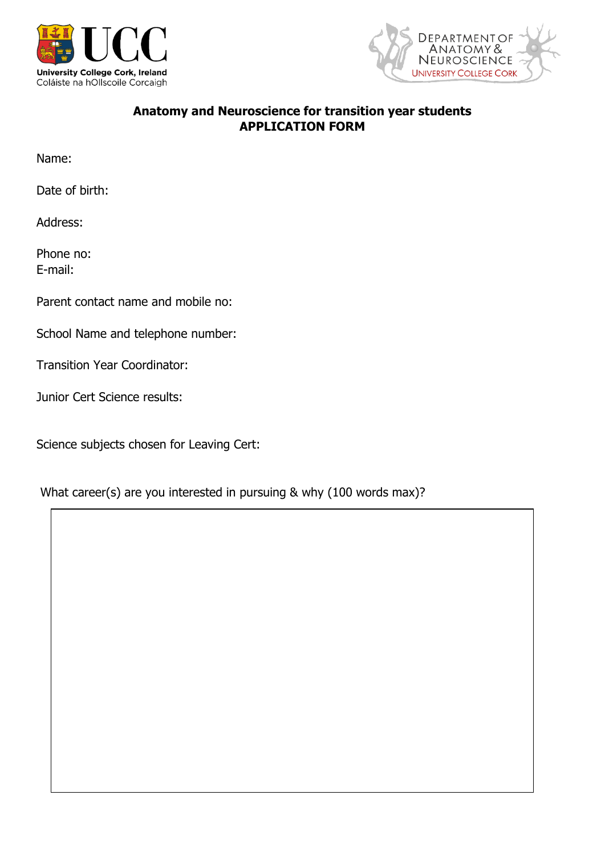



# **Anatomy and Neuroscience for transition year students APPLICATION FORM**

Name:

Date of birth:

Address:

Phone no: E-mail:

Parent contact name and mobile no:

School Name and telephone number:

Transition Year Coordinator:

Junior Cert Science results:

Science subjects chosen for Leaving Cert:

What career(s) are you interested in pursuing & why (100 words max)?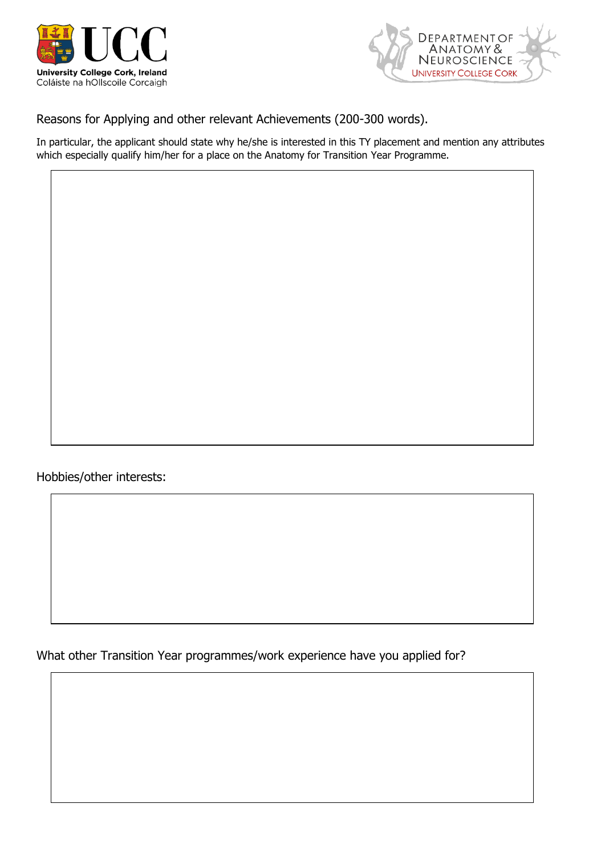



Reasons for Applying and other relevant Achievements (200-300 words).

In particular, the applicant should state why he/she is interested in this TY placement and mention any attributes which especially qualify him/her for a place on the Anatomy for Transition Year Programme.

Hobbies/other interests:

What other Transition Year programmes/work experience have you applied for?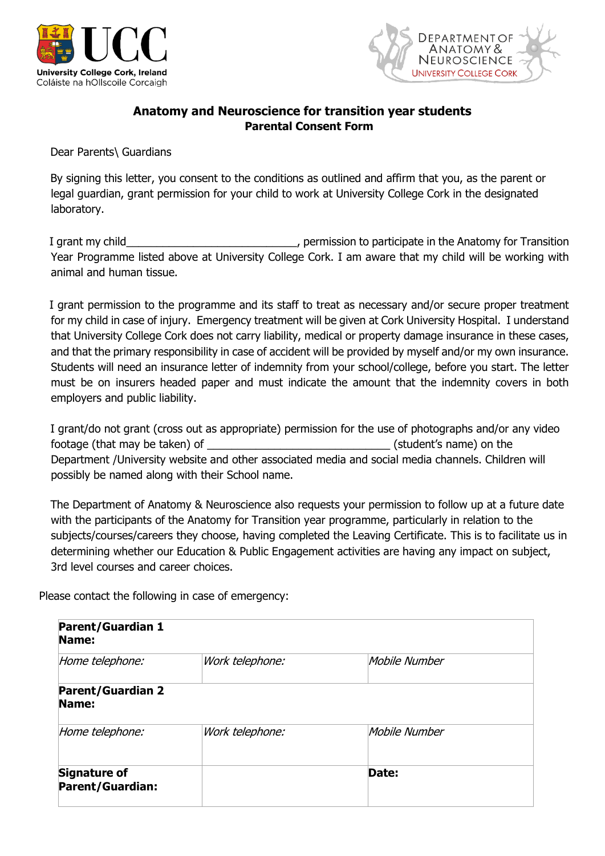



# **Anatomy and Neuroscience for transition year students Parental Consent Form**

Dear Parents\ Guardians

By signing this letter, you consent to the conditions as outlined and affirm that you, as the parent or legal guardian, grant permission for your child to work at University College Cork in the designated laboratory.

I grant my child\_\_\_\_\_\_\_\_\_\_\_\_\_\_\_\_\_\_\_\_\_\_\_\_\_\_\_\_, permission to participate in the Anatomy for Transition Year Programme listed above at University College Cork. I am aware that my child will be working with animal and human tissue.

I grant permission to the programme and its staff to treat as necessary and/or secure proper treatment for my child in case of injury. Emergency treatment will be given at Cork University Hospital. I understand that University College Cork does not carry liability, medical or property damage insurance in these cases, and that the primary responsibility in case of accident will be provided by myself and/or my own insurance. Students will need an insurance letter of indemnity from your school/college, before you start. The letter must be on insurers headed paper and must indicate the amount that the indemnity covers in both employers and public liability.

I grant/do not grant (cross out as appropriate) permission for the use of photographs and/or any video footage (that may be taken) of  $\Box$  . The set of the set of the set of the set of the set of the set of the set of the set of the set of the set of the set of the set of the set of the set of the set of the set of the set Department /University website and other associated media and social media channels. Children will possibly be named along with their School name.

The Department of Anatomy & Neuroscience also requests your permission to follow up at a future date with the participants of the Anatomy for Transition year programme, particularly in relation to the subjects/courses/careers they choose, having completed the Leaving Certificate. This is to facilitate us in determining whether our Education & Public Engagement activities are having any impact on subject, 3rd level courses and career choices.

Please contact the following in case of emergency:

| <b>Parent/Guardian 1</b><br>Name:       |                 |               |
|-----------------------------------------|-----------------|---------------|
| Home telephone:                         | Work telephone: | Mobile Number |
| <b>Parent/Guardian 2</b><br>Name:       |                 |               |
| Home telephone:                         | Work telephone: | Mobile Number |
| <b>Signature of</b><br>Parent/Guardian: |                 | Date:         |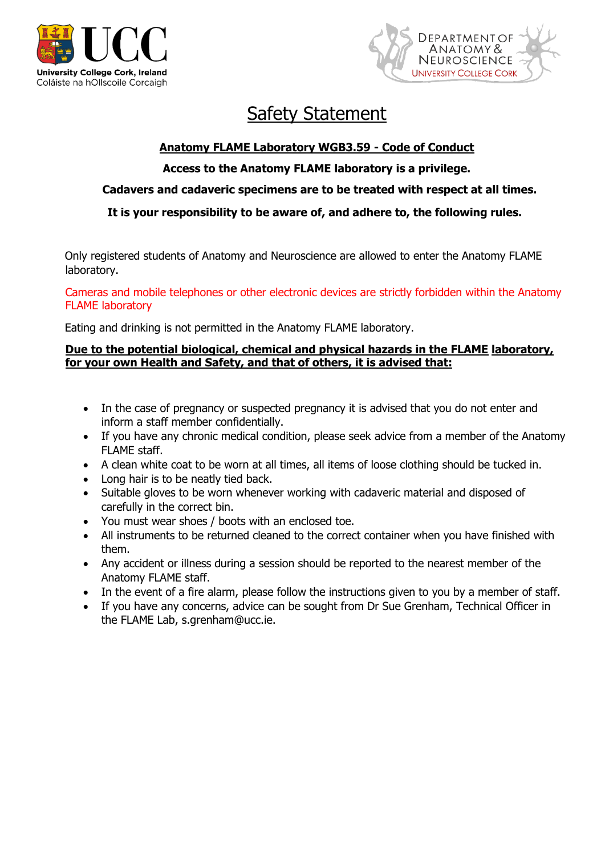



# Safety Statement

# **Anatomy FLAME Laboratory WGB3.59 - Code of Conduct**

# **Access to the Anatomy FLAME laboratory is a privilege.**

# **Cadavers and cadaveric specimens are to be treated with respect at all times.**

## **It is your responsibility to be aware of, and adhere to, the following rules.**

Only registered students of Anatomy and Neuroscience are allowed to enter the Anatomy FLAME laboratory.

Cameras and mobile telephones or other electronic devices are strictly forbidden within the Anatomy FLAME laboratory

Eating and drinking is not permitted in the Anatomy FLAME laboratory.

## **Due to the potential biological, chemical and physical hazards in the FLAME laboratory, for your own Health and Safety, and that of others, it is advised that:**

- In the case of pregnancy or suspected pregnancy it is advised that you do not enter and inform a staff member confidentially.
- If you have any chronic medical condition, please seek advice from a member of the Anatomy FLAME staff.
- A clean white coat to be worn at all times, all items of loose clothing should be tucked in.
- Long hair is to be neatly tied back.
- Suitable gloves to be worn whenever working with cadaveric material and disposed of carefully in the correct bin.
- You must wear shoes / boots with an enclosed toe.
- All instruments to be returned cleaned to the correct container when you have finished with them.
- Any accident or illness during a session should be reported to the nearest member of the Anatomy FLAME staff.
- In the event of a fire alarm, please follow the instructions given to you by a member of staff.
- If you have any concerns, advice can be sought from Dr Sue Grenham, Technical Officer in the FLAME Lab, s.grenham@ucc.ie.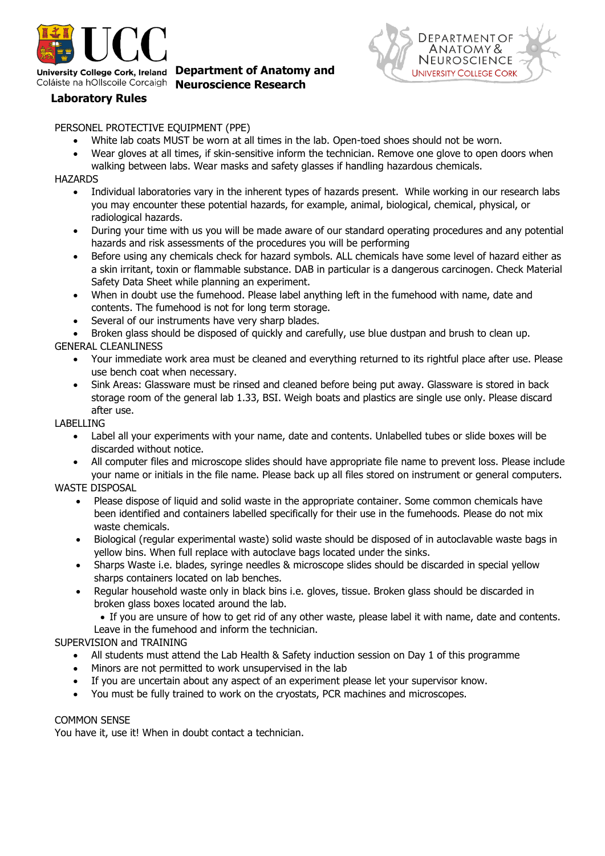

University College Cork, Ireland Department of Anatomy and Coláiste na hOllscoile Corcaigh **Neuroscience Research** 



## **Laboratory Rules**

#### PERSONEL PROTECTIVE EQUIPMENT (PPE)

- White lab coats MUST be worn at all times in the lab. Open-toed shoes should not be worn.
- Wear gloves at all times, if skin-sensitive inform the technician. Remove one glove to open doors when
	- walking between labs. Wear masks and safety glasses if handling hazardous chemicals.

#### **HAZARDS**

- Individual laboratories vary in the inherent types of hazards present. While working in our research labs you may encounter these potential hazards, for example, animal, biological, chemical, physical, or radiological hazards.
- During your time with us you will be made aware of our standard operating procedures and any potential hazards and risk assessments of the procedures you will be performing
- Before using any chemicals check for hazard symbols. ALL chemicals have some level of hazard either as a skin irritant, toxin or flammable substance. DAB in particular is a dangerous carcinogen. Check Material Safety Data Sheet while planning an experiment.
- When in doubt use the fumehood. Please label anything left in the fumehood with name, date and contents. The fumehood is not for long term storage.
- Several of our instruments have very sharp blades.
- Broken glass should be disposed of quickly and carefully, use blue dustpan and brush to clean up.

## GENERAL CLEANLINESS

- Your immediate work area must be cleaned and everything returned to its rightful place after use. Please use bench coat when necessary.
- Sink Areas: Glassware must be rinsed and cleaned before being put away. Glassware is stored in back storage room of the general lab 1.33, BSI. Weigh boats and plastics are single use only. Please discard after use.

#### LABELLING

- Label all your experiments with your name, date and contents. Unlabelled tubes or slide boxes will be discarded without notice.
- All computer files and microscope slides should have appropriate file name to prevent loss. Please include your name or initials in the file name. Please back up all files stored on instrument or general computers.

## WASTE DISPOSAL

- Please dispose of liquid and solid waste in the appropriate container. Some common chemicals have been identified and containers labelled specifically for their use in the fumehoods. Please do not mix waste chemicals.
- Biological (regular experimental waste) solid waste should be disposed of in autoclavable waste bags in yellow bins. When full replace with autoclave bags located under the sinks.
- Sharps Waste i.e. blades, syringe needles & microscope slides should be discarded in special yellow sharps containers located on lab benches.
- Regular household waste only in black bins i.e. gloves, tissue. Broken glass should be discarded in broken glass boxes located around the lab.

 If you are unsure of how to get rid of any other waste, please label it with name, date and contents. Leave in the fumehood and inform the technician.

## SUPERVISION and TRAINING

- All students must attend the Lab Health & Safety induction session on Day 1 of this programme
- Minors are not permitted to work unsupervised in the lab
- If you are uncertain about any aspect of an experiment please let your supervisor know.
- You must be fully trained to work on the cryostats, PCR machines and microscopes.

#### COMMON SENSE

You have it, use it! When in doubt contact a technician.